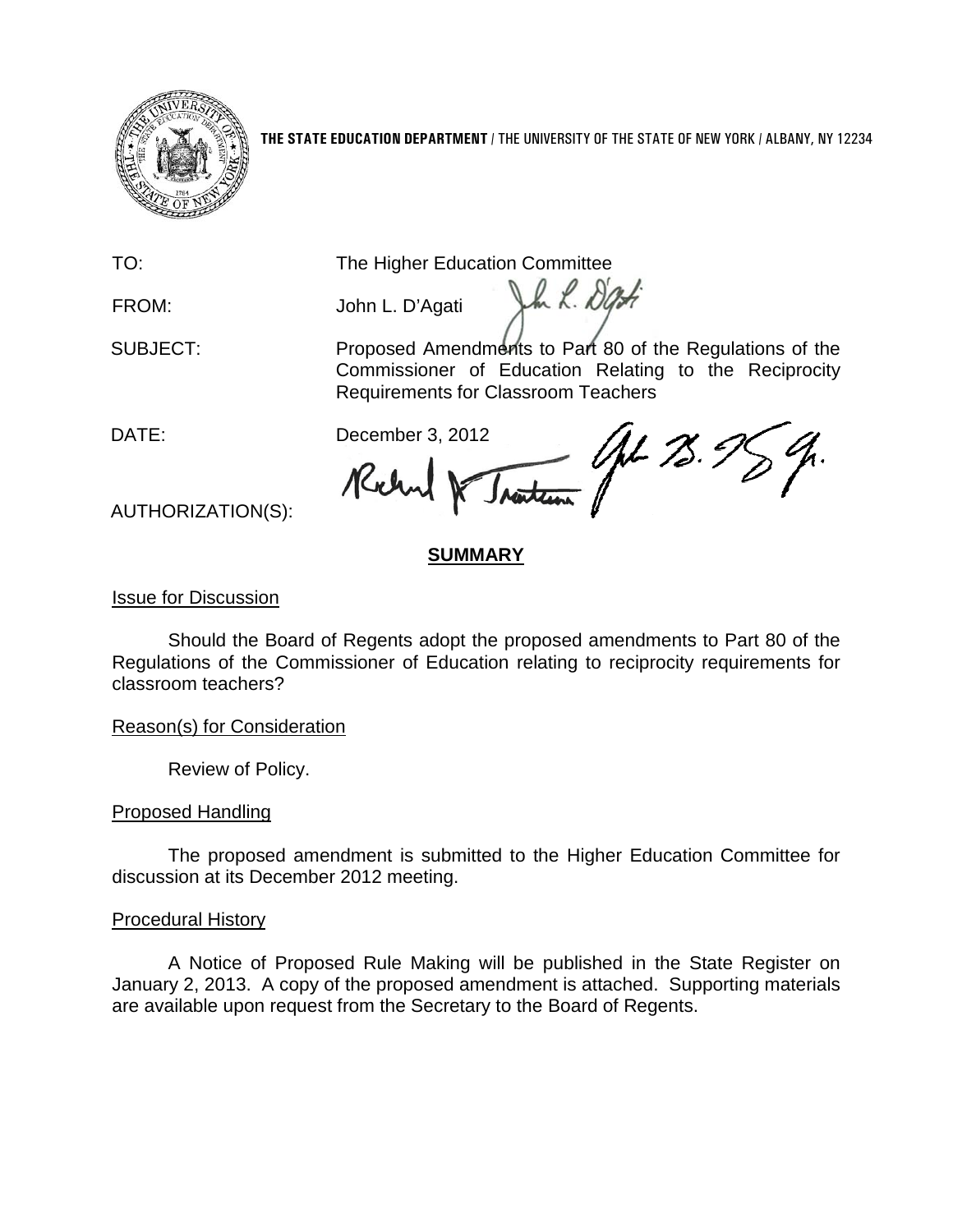

**THE STATE EDUCATION DEPARTMENT** / THE UNIVERSITY OF THE STATE OF NEW YORK / ALBANY, NY 12234

TO: The Higher Education Committee

FROM: John L. D'Agati

SUBJECT: Proposed Amendments to Part 80 of the Regulations of the Commissioner of Education Relating to the Reciprocity Requirements for Classroom Teachers

In L. Dat

DATE: December 3, 2012 JL 75. KW

AUTHORIZATION(S):

# **SUMMARY**

# Issue for Discussion

Should the Board of Regents adopt the proposed amendments to Part 80 of the Regulations of the Commissioner of Education relating to reciprocity requirements for classroom teachers?

Reason(s) for Consideration

Review of Policy.

# Proposed Handling

The proposed amendment is submitted to the Higher Education Committee for discussion at its December 2012 meeting.

## Procedural History

A Notice of Proposed Rule Making will be published in the State Register on January 2, 2013. A copy of the proposed amendment is attached. Supporting materials are available upon request from the Secretary to the Board of Regents.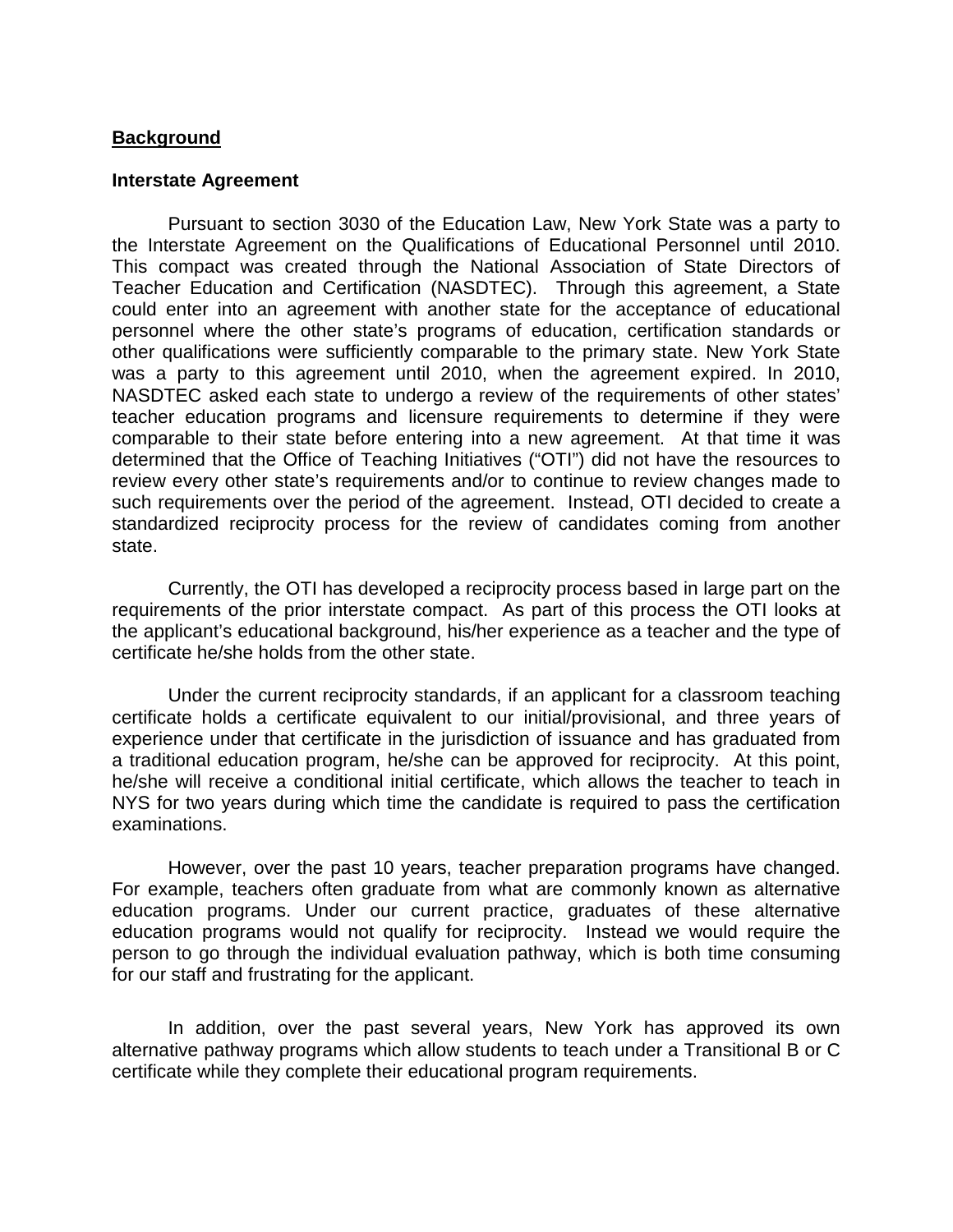#### **Background**

### **Interstate Agreement**

Pursuant to section 3030 of the Education Law, New York State was a party to the Interstate Agreement on the Qualifications of Educational Personnel until 2010. This compact was created through the National Association of State Directors of Teacher Education and Certification (NASDTEC). Through this agreement, a State could enter into an agreement with another state for the acceptance of educational personnel where the other state's programs of education, certification standards or other qualifications were sufficiently comparable to the primary state. New York State was a party to this agreement until 2010, when the agreement expired. In 2010, NASDTEC asked each state to undergo a review of the requirements of other states' teacher education programs and licensure requirements to determine if they were comparable to their state before entering into a new agreement. At that time it was determined that the Office of Teaching Initiatives ("OTI") did not have the resources to review every other state's requirements and/or to continue to review changes made to such requirements over the period of the agreement. Instead, OTI decided to create a standardized reciprocity process for the review of candidates coming from another state.

Currently, the OTI has developed a reciprocity process based in large part on the requirements of the prior interstate compact. As part of this process the OTI looks at the applicant's educational background, his/her experience as a teacher and the type of certificate he/she holds from the other state.

Under the current reciprocity standards, if an applicant for a classroom teaching certificate holds a certificate equivalent to our initial/provisional, and three years of experience under that certificate in the jurisdiction of issuance and has graduated from a traditional education program, he/she can be approved for reciprocity. At this point, he/she will receive a conditional initial certificate, which allows the teacher to teach in NYS for two years during which time the candidate is required to pass the certification examinations.

However, over the past 10 years, teacher preparation programs have changed. For example, teachers often graduate from what are commonly known as alternative education programs. Under our current practice, graduates of these alternative education programs would not qualify for reciprocity. Instead we would require the person to go through the individual evaluation pathway, which is both time consuming for our staff and frustrating for the applicant.

In addition, over the past several years, New York has approved its own alternative pathway programs which allow students to teach under a Transitional B or C certificate while they complete their educational program requirements.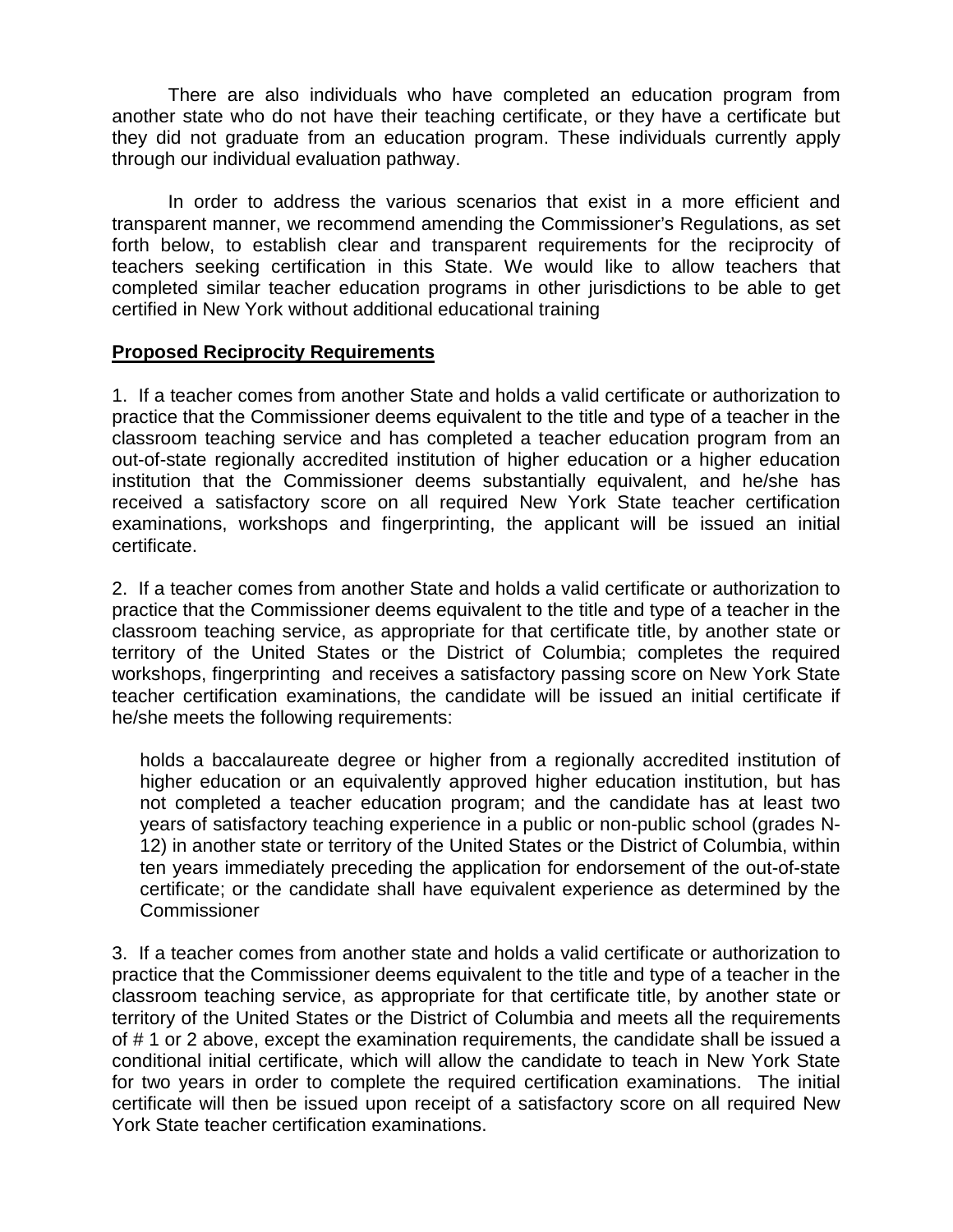There are also individuals who have completed an education program from another state who do not have their teaching certificate, or they have a certificate but they did not graduate from an education program. These individuals currently apply through our individual evaluation pathway.

In order to address the various scenarios that exist in a more efficient and transparent manner, we recommend amending the Commissioner's Regulations, as set forth below, to establish clear and transparent requirements for the reciprocity of teachers seeking certification in this State. We would like to allow teachers that completed similar teacher education programs in other jurisdictions to be able to get certified in New York without additional educational training

## **Proposed Reciprocity Requirements**

1. If a teacher comes from another State and holds a valid certificate or authorization to practice that the Commissioner deems equivalent to the title and type of a teacher in the classroom teaching service and has completed a teacher education program from an out-of-state regionally accredited institution of higher education or a higher education institution that the Commissioner deems substantially equivalent, and he/she has received a satisfactory score on all required New York State teacher certification examinations, workshops and fingerprinting, the applicant will be issued an initial certificate.

2. If a teacher comes from another State and holds a valid certificate or authorization to practice that the Commissioner deems equivalent to the title and type of a teacher in the classroom teaching service, as appropriate for that certificate title, by another state or territory of the United States or the District of Columbia; completes the required workshops, fingerprinting and receives a satisfactory passing score on New York State teacher certification examinations, the candidate will be issued an initial certificate if he/she meets the following requirements:

holds a baccalaureate degree or higher from a regionally accredited institution of higher education or an equivalently approved higher education institution, but has not completed a teacher education program; and the candidate has at least two years of satisfactory teaching experience in a public or non-public school (grades N-12) in another state or territory of the United States or the District of Columbia, within ten years immediately preceding the application for endorsement of the out-of-state certificate; or the candidate shall have equivalent experience as determined by the **Commissioner** 

3. If a teacher comes from another state and holds a valid certificate or authorization to practice that the Commissioner deems equivalent to the title and type of a teacher in the classroom teaching service, as appropriate for that certificate title, by another state or territory of the United States or the District of Columbia and meets all the requirements of # 1 or 2 above, except the examination requirements, the candidate shall be issued a conditional initial certificate, which will allow the candidate to teach in New York State for two years in order to complete the required certification examinations. The initial certificate will then be issued upon receipt of a satisfactory score on all required New York State teacher certification examinations.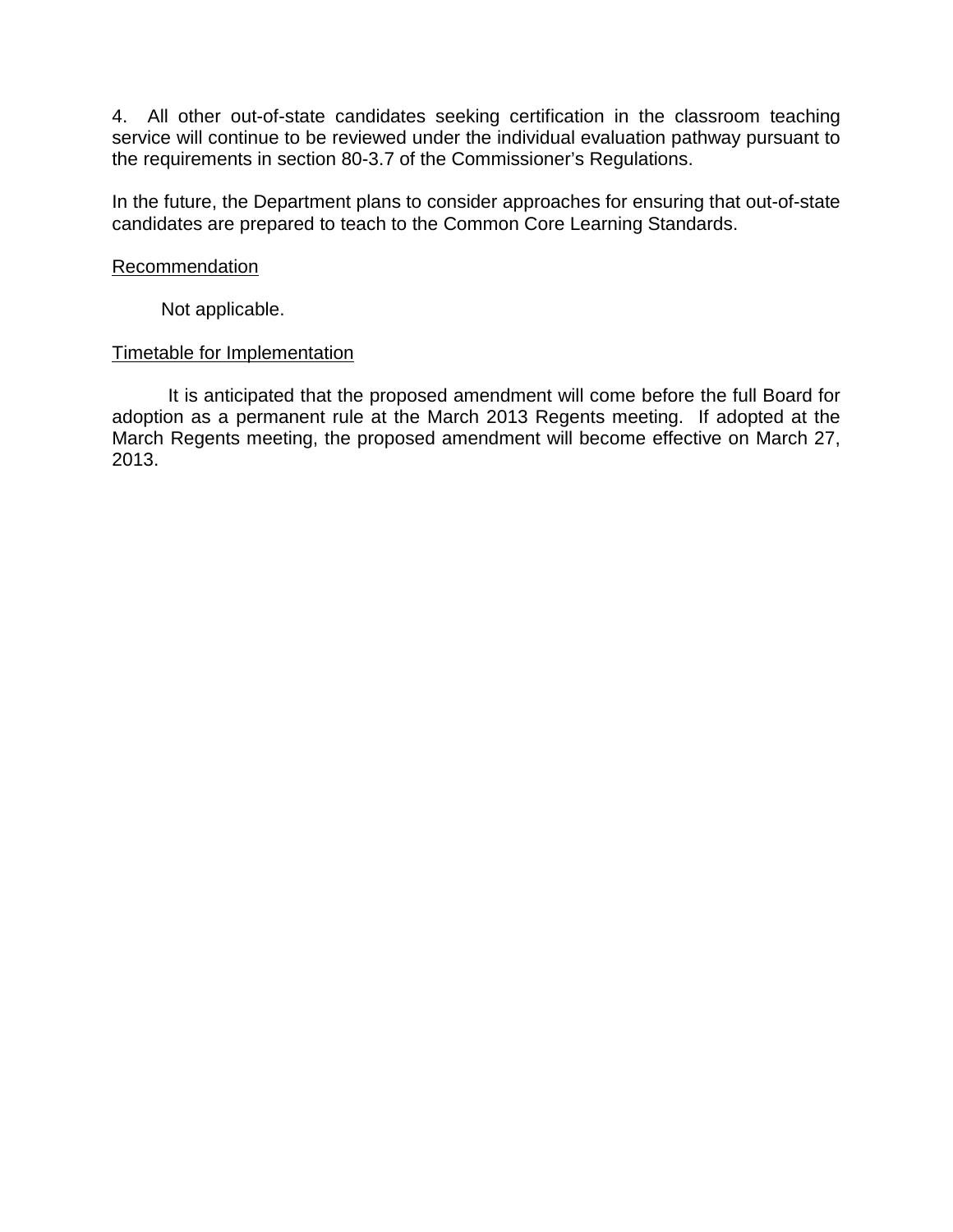4. All other out-of-state candidates seeking certification in the classroom teaching service will continue to be reviewed under the individual evaluation pathway pursuant to the requirements in section 80-3.7 of the Commissioner's Regulations.

In the future, the Department plans to consider approaches for ensuring that out-of-state candidates are prepared to teach to the Common Core Learning Standards.

#### **Recommendation**

Not applicable.

## Timetable for Implementation

It is anticipated that the proposed amendment will come before the full Board for adoption as a permanent rule at the March 2013 Regents meeting. If adopted at the March Regents meeting, the proposed amendment will become effective on March 27, 2013.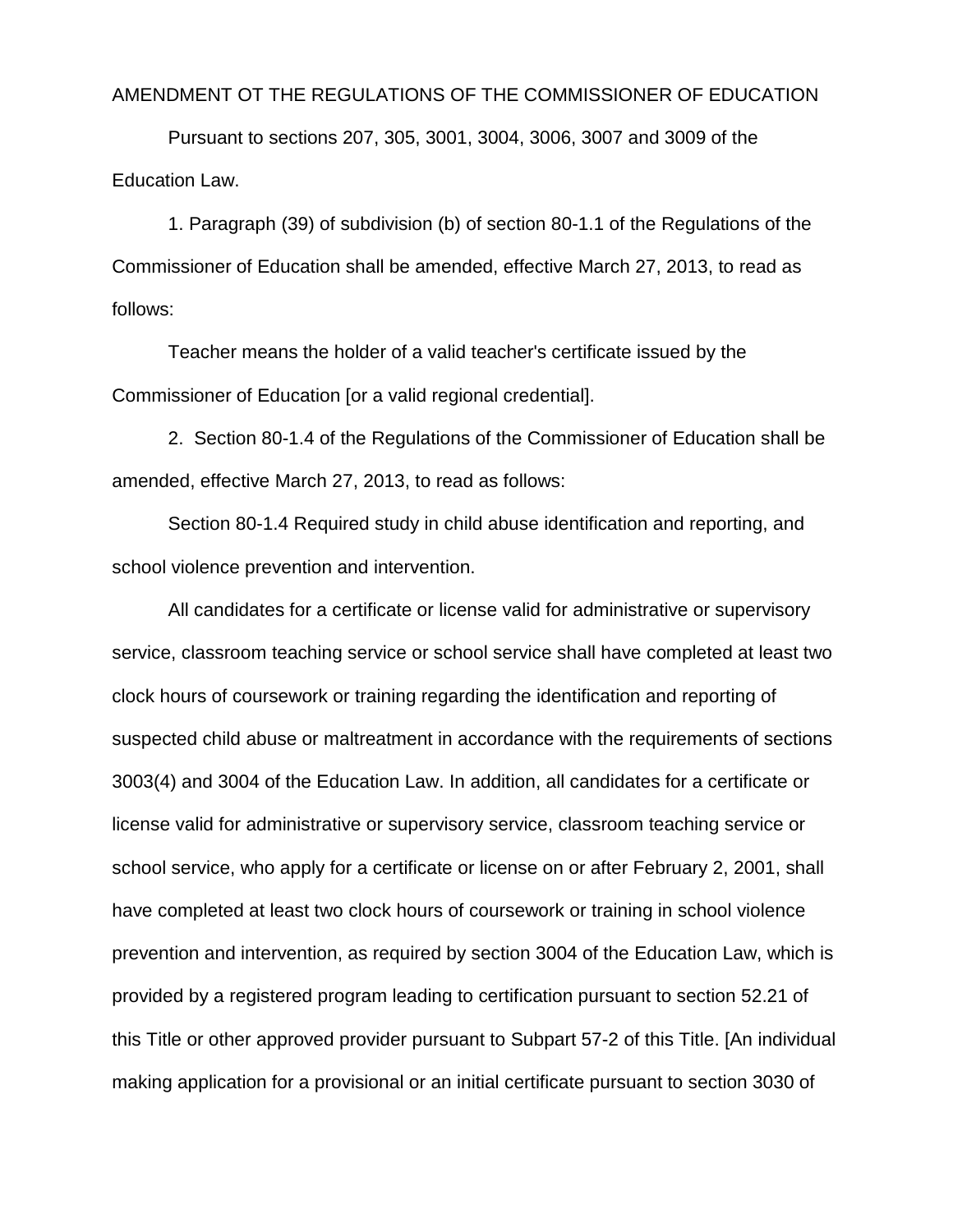#### AMENDMENT OT THE REGULATIONS OF THE COMMISSIONER OF EDUCATION

Pursuant to sections 207, 305, 3001, 3004, 3006, 3007 and 3009 of the Education Law.

1. Paragraph (39) of subdivision (b) of section 80-1.1 of the Regulations of the Commissioner of Education shall be amended, effective March 27, 2013, to read as follows:

Teacher means the holder of a valid teacher's certificate issued by the Commissioner of Education [or a valid regional credential].

2. Section 80-1.4 of the Regulations of the Commissioner of Education shall be amended, effective March 27, 2013, to read as follows:

Section 80-1.4 Required study in child abuse identification and reporting, and school violence prevention and intervention.

All candidates for a certificate or license valid for administrative or supervisory service, classroom teaching service or school service shall have completed at least two clock hours of coursework or training regarding the identification and reporting of suspected child abuse or maltreatment in accordance with the requirements of sections 3003(4) and 3004 of the Education Law. In addition, all candidates for a certificate or license valid for administrative or supervisory service, classroom teaching service or school service, who apply for a certificate or license on or after February 2, 2001, shall have completed at least two clock hours of coursework or training in school violence prevention and intervention, as required by section 3004 of the Education Law, which is provided by a registered program leading to certification pursuant to section 52.21 of this Title or other approved provider pursuant to Subpart 57-2 of this Title. [An individual making application for a provisional or an initial certificate pursuant to section 3030 of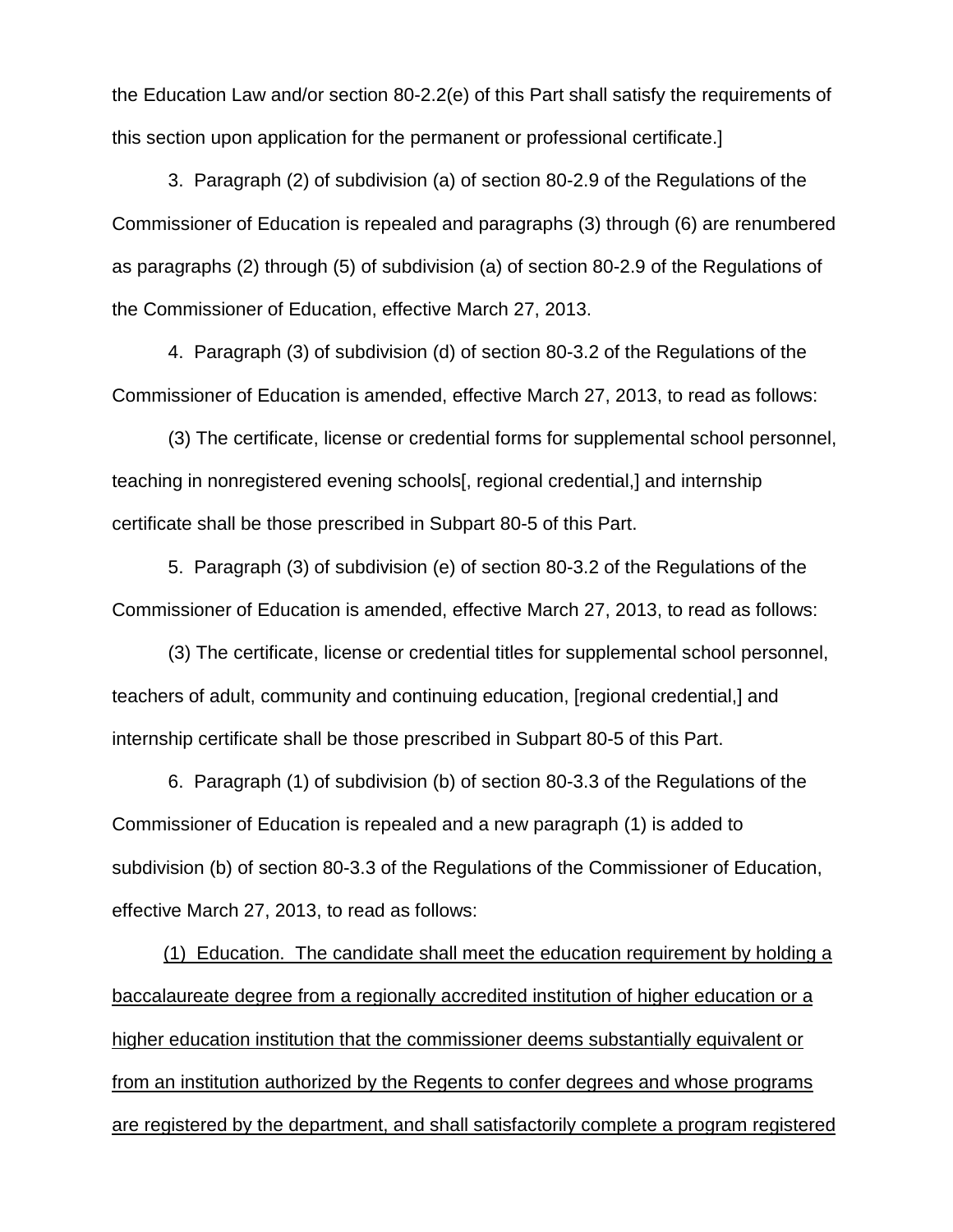the Education Law and/or section 80-2.2(e) of this Part shall satisfy the requirements of this section upon application for the permanent or professional certificate.]

3. Paragraph (2) of subdivision (a) of section 80-2.9 of the Regulations of the Commissioner of Education is repealed and paragraphs (3) through (6) are renumbered as paragraphs (2) through (5) of subdivision (a) of section 80-2.9 of the Regulations of the Commissioner of Education, effective March 27, 2013.

4. Paragraph (3) of subdivision (d) of section 80-3.2 of the Regulations of the Commissioner of Education is amended, effective March 27, 2013, to read as follows:

(3) The certificate, license or credential forms for supplemental school personnel, teaching in nonregistered evening schools[, regional credential,] and internship certificate shall be those prescribed in Subpart 80-5 of this Part.

5. Paragraph (3) of subdivision (e) of section 80-3.2 of the Regulations of the Commissioner of Education is amended, effective March 27, 2013, to read as follows:

(3) The certificate, license or credential titles for supplemental school personnel, teachers of adult, community and continuing education, [regional credential,] and internship certificate shall be those prescribed in Subpart 80-5 of this Part.

6. Paragraph (1) of subdivision (b) of section 80-3.3 of the Regulations of the Commissioner of Education is repealed and a new paragraph (1) is added to subdivision (b) of section 80-3.3 of the Regulations of the Commissioner of Education, effective March 27, 2013, to read as follows:

(1) Education. The candidate shall meet the education requirement by holding a baccalaureate degree from a regionally accredited institution of higher education or a higher education institution that the commissioner deems substantially equivalent or from an institution authorized by the Regents to confer degrees and whose programs are registered by the department, and shall satisfactorily complete a program registered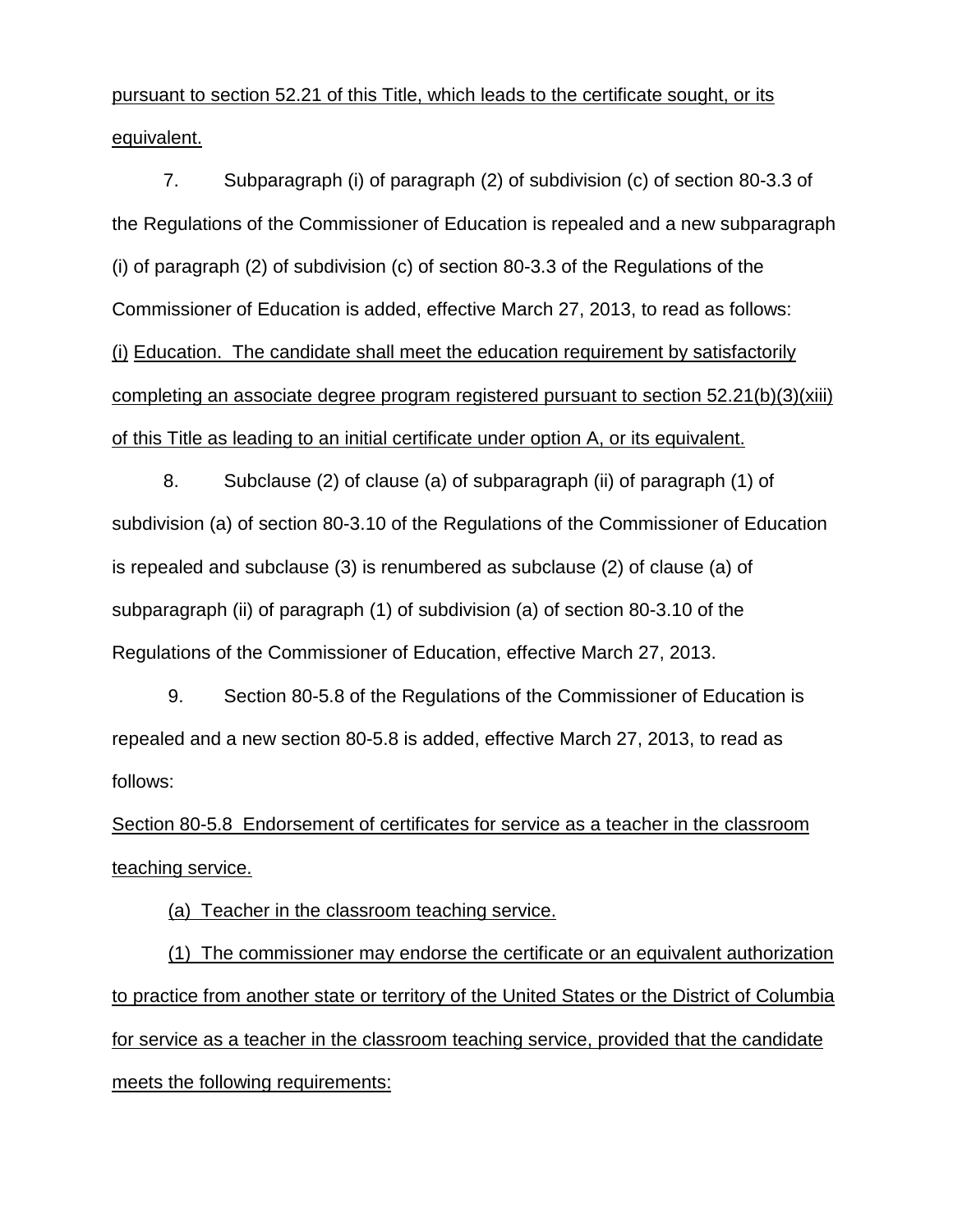pursuant to section 52.21 of this Title, which leads to the certificate sought, or its equivalent.

7. Subparagraph (i) of paragraph (2) of subdivision (c) of section 80-3.3 of the Regulations of the Commissioner of Education is repealed and a new subparagraph (i) of paragraph (2) of subdivision (c) of section 80-3.3 of the Regulations of the Commissioner of Education is added, effective March 27, 2013, to read as follows: (i) Education. The candidate shall meet the education requirement by satisfactorily completing an associate degree program registered pursuant to section 52.21(b)(3)(xiii) of this Title as leading to an initial certificate under option A, or its equivalent.

8. Subclause (2) of clause (a) of subparagraph (ii) of paragraph (1) of subdivision (a) of section 80-3.10 of the Regulations of the Commissioner of Education is repealed and subclause (3) is renumbered as subclause (2) of clause (a) of subparagraph (ii) of paragraph (1) of subdivision (a) of section 80-3.10 of the Regulations of the Commissioner of Education, effective March 27, 2013.

9. Section 80-5.8 of the Regulations of the Commissioner of Education is repealed and a new section 80-5.8 is added, effective March 27, 2013, to read as follows:

Section 80-5.8 Endorsement of certificates for service as a teacher in the classroom teaching service.

(a) Teacher in the classroom teaching service.

(1) The commissioner may endorse the certificate or an equivalent authorization to practice from another state or territory of the United States or the District of Columbia for service as a teacher in the classroom teaching service, provided that the candidate meets the following requirements: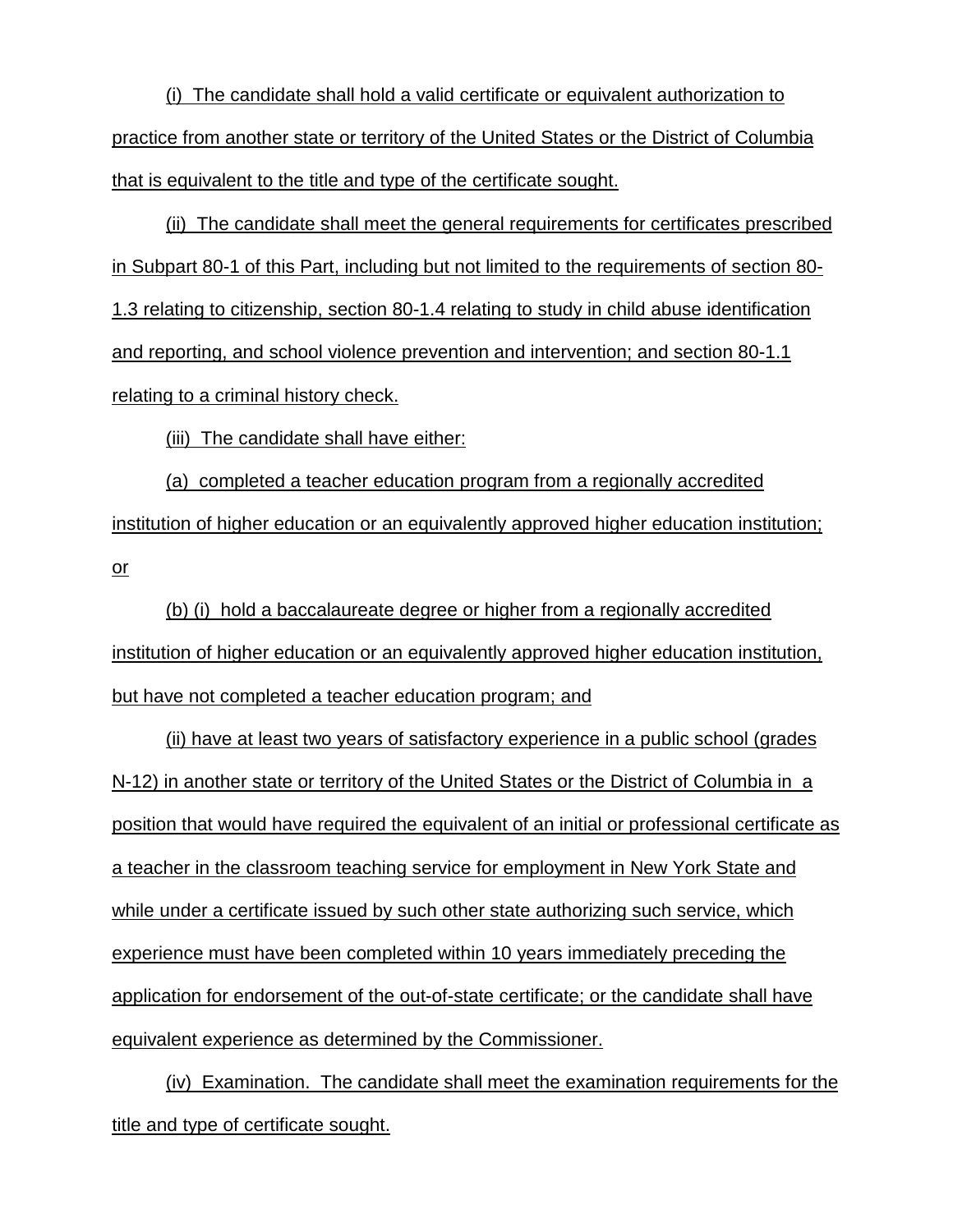(i) The candidate shall hold a valid certificate or equivalent authorization to practice from another state or territory of the United States or the District of Columbia that is equivalent to the title and type of the certificate sought.

(ii) The candidate shall meet the general requirements for certificates prescribed in Subpart 80-1 of this Part, including but not limited to the requirements of section 80- 1.3 relating to citizenship, section 80-1.4 relating to study in child abuse identification and reporting, and school violence prevention and intervention; and section 80-1.1 relating to a criminal history check.

(iii) The candidate shall have either:

(a) completed a teacher education program from a regionally accredited institution of higher education or an equivalently approved higher education institution; or

(b) (i) hold a baccalaureate degree or higher from a regionally accredited institution of higher education or an equivalently approved higher education institution, but have not completed a teacher education program; and

(ii) have at least two years of satisfactory experience in a public school (grades N-12) in another state or territory of the United States or the District of Columbia in a position that would have required the equivalent of an initial or professional certificate as a teacher in the classroom teaching service for employment in New York State and while under a certificate issued by such other state authorizing such service, which experience must have been completed within 10 years immediately preceding the application for endorsement of the out-of-state certificate; or the candidate shall have equivalent experience as determined by the Commissioner.

(iv) Examination. The candidate shall meet the examination requirements for the title and type of certificate sought.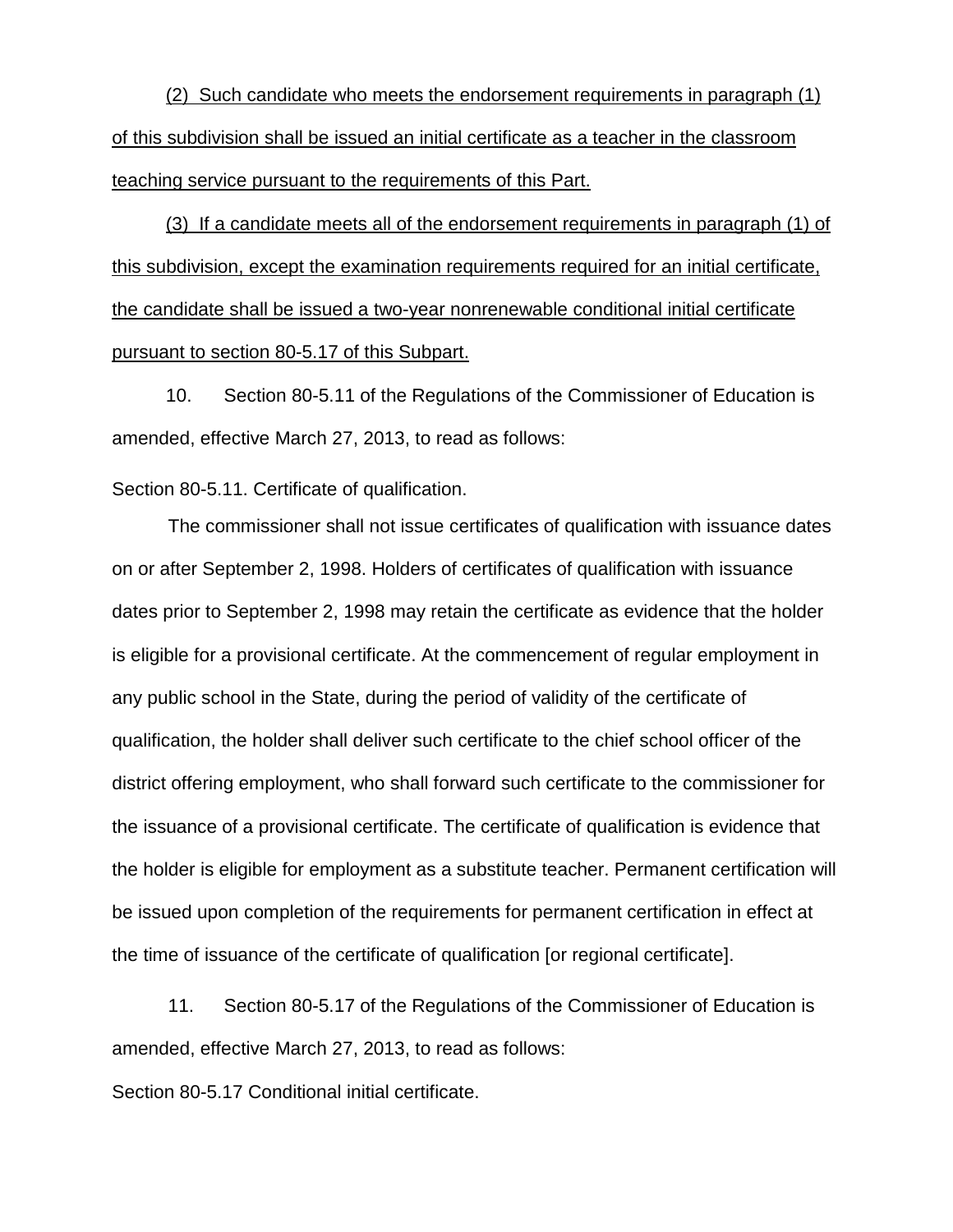(2) Such candidate who meets the endorsement requirements in paragraph (1) of this subdivision shall be issued an initial certificate as a teacher in the classroom teaching service pursuant to the requirements of this Part.

(3) If a candidate meets all of the endorsement requirements in paragraph (1) of this subdivision, except the examination requirements required for an initial certificate, the candidate shall be issued a two-year nonrenewable conditional initial certificate pursuant to section 80-5.17 of this Subpart.

10. Section 80-5.11 of the Regulations of the Commissioner of Education is amended, effective March 27, 2013, to read as follows:

Section 80-5.11. Certificate of qualification.

The commissioner shall not issue certificates of qualification with issuance dates on or after September 2, 1998. Holders of certificates of qualification with issuance dates prior to September 2, 1998 may retain the certificate as evidence that the holder is eligible for a provisional certificate. At the commencement of regular employment in any public school in the State, during the period of validity of the certificate of qualification, the holder shall deliver such certificate to the chief school officer of the district offering employment, who shall forward such certificate to the commissioner for the issuance of a provisional certificate. The certificate of qualification is evidence that the holder is eligible for employment as a substitute teacher. Permanent certification will be issued upon completion of the requirements for permanent certification in effect at the time of issuance of the certificate of qualification [or regional certificate].

11. Section 80-5.17 of the Regulations of the Commissioner of Education is amended, effective March 27, 2013, to read as follows:

Section 80-5.17 Conditional initial certificate.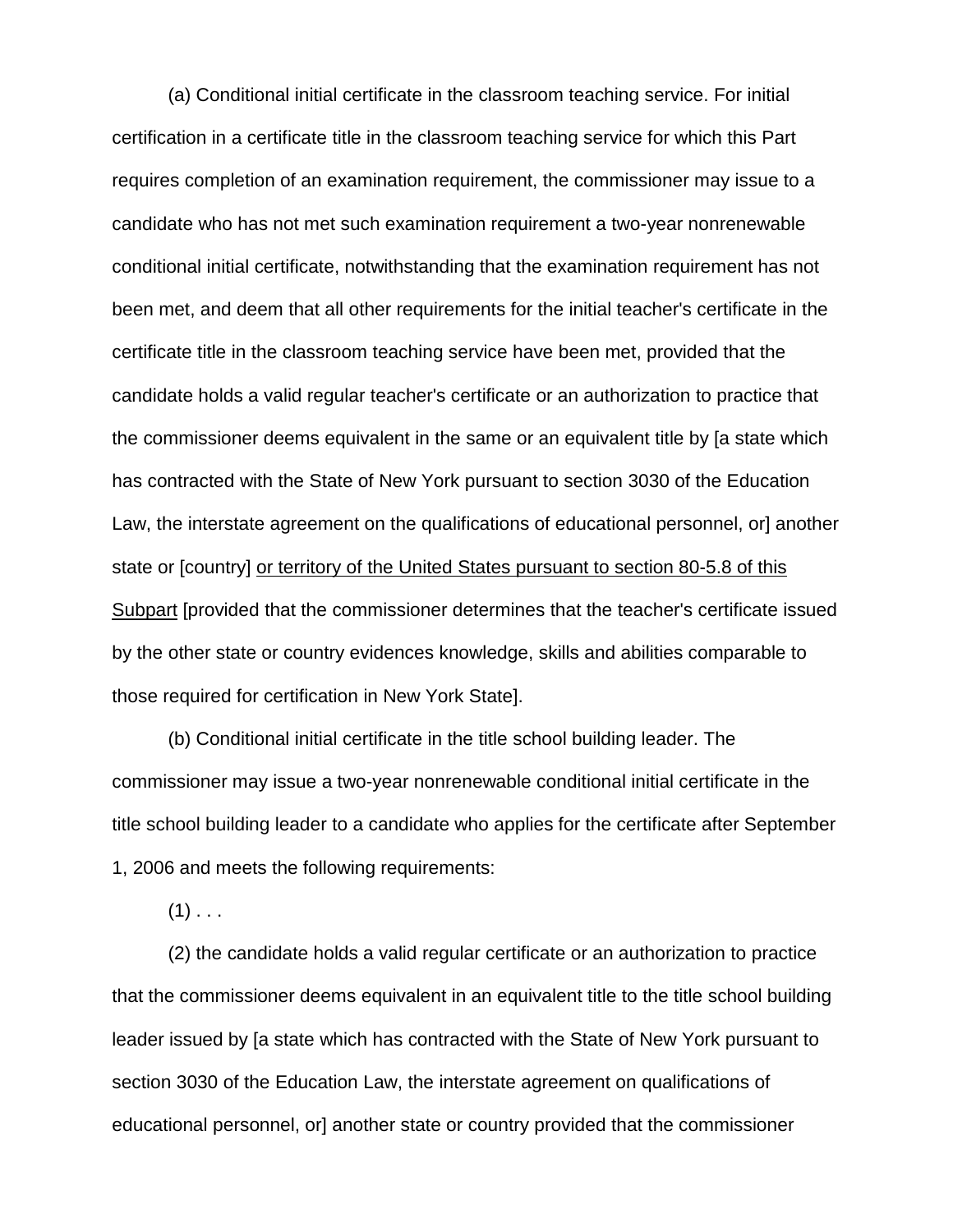(a) Conditional initial certificate in the classroom teaching service. For initial certification in a certificate title in the classroom teaching service for which this Part requires completion of an examination requirement, the commissioner may issue to a candidate who has not met such examination requirement a two-year nonrenewable conditional initial certificate, notwithstanding that the examination requirement has not been met, and deem that all other requirements for the initial teacher's certificate in the certificate title in the classroom teaching service have been met, provided that the candidate holds a valid regular teacher's certificate or an authorization to practice that the commissioner deems equivalent in the same or an equivalent title by [a state which has contracted with the State of New York pursuant to section 3030 of the Education Law, the interstate agreement on the qualifications of educational personnel, or another state or [country] or territory of the United States pursuant to section 80-5.8 of this Subpart [provided that the commissioner determines that the teacher's certificate issued by the other state or country evidences knowledge, skills and abilities comparable to those required for certification in New York State].

(b) Conditional initial certificate in the title school building leader. The commissioner may issue a two-year nonrenewable conditional initial certificate in the title school building leader to a candidate who applies for the certificate after September 1, 2006 and meets the following requirements:

 $(1)$  . . .

(2) the candidate holds a valid regular certificate or an authorization to practice that the commissioner deems equivalent in an equivalent title to the title school building leader issued by [a state which has contracted with the State of New York pursuant to section 3030 of the Education Law, the interstate agreement on qualifications of educational personnel, or] another state or country provided that the commissioner